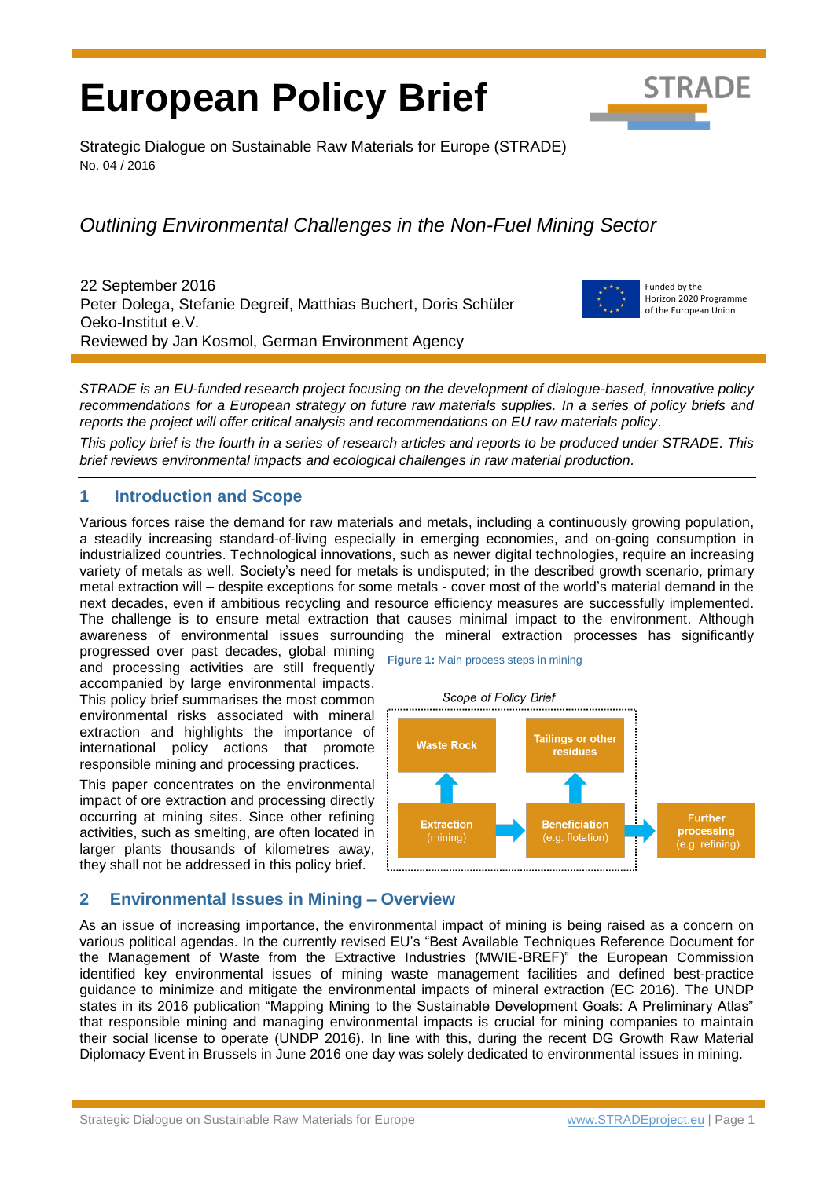# **European Policy Brief**



Strategic Dialogue on Sustainable Raw Materials for Europe (STRADE) No. 04 / 2016

# *Outlining Environmental Challenges in the Non-Fuel Mining Sector*

22 September 2016 Peter Dolega, Stefanie Degreif, Matthias Buchert, Doris Schüler Oeko-Institut e.V. Reviewed by Jan Kosmol, German Environment Agency



Funded by the Horizon 2020 Programme of the European Union

*STRADE is an EU-funded research project focusing on the development of dialogue-based, innovative policy recommendations for a European strategy on future raw materials supplies. In a series of policy briefs and reports the project will offer critical analysis and recommendations on EU raw materials policy*.

*This policy brief is the fourth in a series of research articles and reports to be produced under STRADE. This brief reviews environmental impacts and ecological challenges in raw material production.*

# **1 Introduction and Scope**

Various forces raise the demand for raw materials and metals, including a continuously growing population, a [steadily increasing standard-of-living](http://www.dict.cc/englisch-deutsch/raised+standard+of+living.html) especially in emerging economies, and on-going consumption in industrialized countries. Technological innovations, such as newer digital technologies, require an increasing variety of metals as well. Society's need for metals is undisputed; in the described growth scenario, primary metal extraction will – despite exceptions for some metals - cover most of the world's material demand in the next decades, even if ambitious recycling and resource efficiency measures are successfully implemented. The challenge is to ensure metal extraction that causes minimal impact to the environment. Although awareness of environmental issues surrounding the mineral extraction processes has significantly

progressed over past decades, global mining and processing activities are still frequently accompanied by large environmental impacts. This policy brief summarises the most common environmental risks associated with mineral extraction and highlights the importance of international policy actions that promote responsible mining and processing practices.

This paper concentrates on the environmental impact of ore extraction and processing directly occurring at mining sites. Since other refining activities, such as smelting, are often located in larger plants thousands of kilometres away, they shall not be addressed in this policy brief.

<span id="page-0-0"></span>**Figure 1:** Main process steps in mining



# **2 Environmental Issues in Mining – Overview**

As an issue of increasing importance, the environmental impact of mining is being raised as a concern on various political agendas. In the currently revised EU's "Best Available Techniques Reference Document for the Management of Waste from the Extractive Industries (MWIE-BREF)" the European Commission identified key environmental issues of mining waste management facilities and defined best-practice guidance to minimize and mitigate the environmental impacts of mineral extraction (EC 2016). The UNDP states in its 2016 publication "Mapping Mining to the Sustainable Development Goals: A Preliminary Atlas" that responsible mining and managing environmental impacts is crucial for mining companies to maintain their social license to operate (UNDP 2016). In line with this, during the recent DG Growth Raw Material Diplomacy Event in Brussels in June 2016 one day was solely dedicated to environmental issues in mining.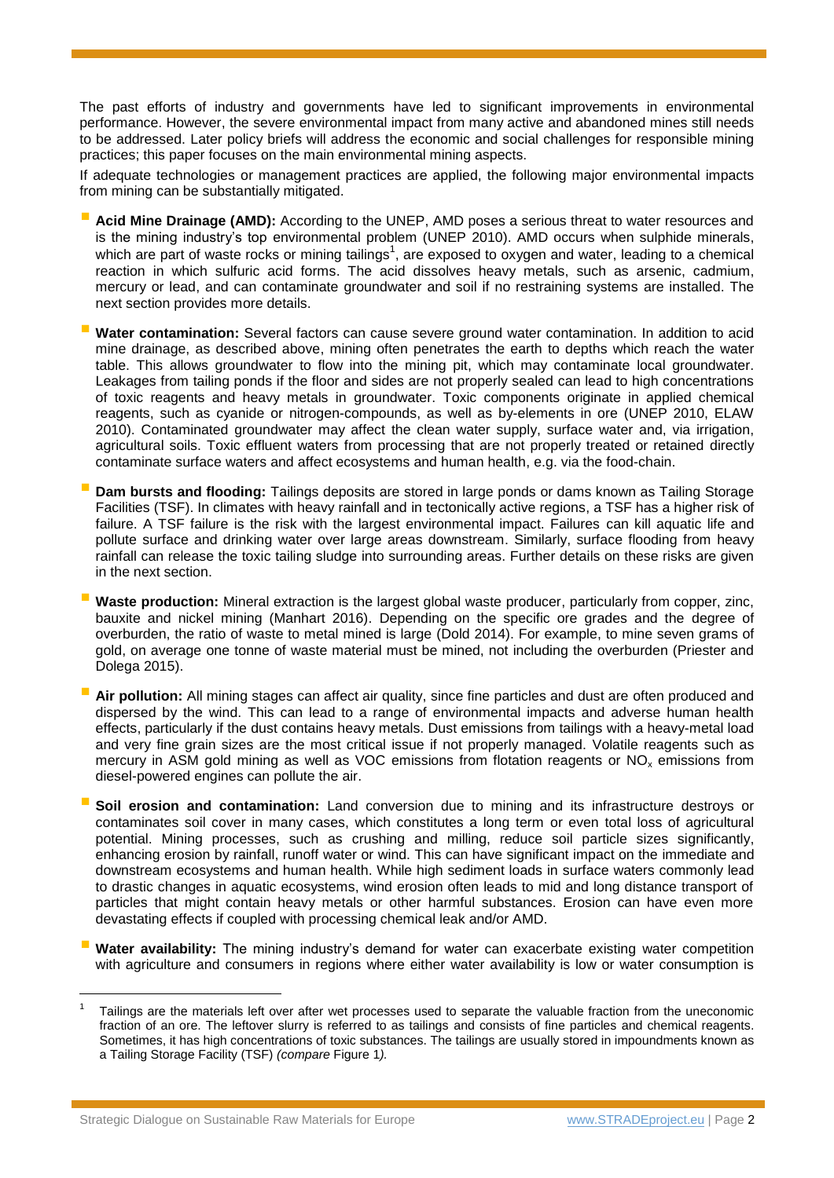The past efforts of industry and governments have led to significant improvements in environmental performance. However, the severe environmental impact from many active and abandoned mines still needs to be addressed. Later policy briefs will address the economic and social challenges for responsible mining practices; this paper focuses on the main environmental mining aspects.

If adequate technologies or management practices are applied, the following major environmental impacts from mining can be substantially mitigated.

- **Acid Mine Drainage (AMD):** According to the UNEP, AMD poses a serious threat to water resources and is the mining industry's top environmental problem (UNEP 2010). AMD occurs when sulphide minerals, which are part of waste rocks or mining tailings<sup>1</sup>, are exposed to oxygen and water, leading to a chemical reaction in which sulfuric acid forms. The acid dissolves heavy metals, such as arsenic, cadmium, mercury or lead, and can contaminate groundwater and soil if no restraining systems are installed. The next section provides more details.
- **Water contamination:** Several factors can cause severe ground water contamination. In addition to acid mine drainage, as described above, mining often penetrates the earth to depths which reach the water table. This allows groundwater to flow into the mining pit, which may contaminate local groundwater. Leakages from tailing ponds if the floor and sides are not properly sealed can lead to high concentrations of toxic reagents and heavy metals in groundwater. Toxic components originate in applied chemical reagents, such as cyanide or nitrogen-compounds, as well as by-elements in ore (UNEP 2010, ELAW 2010). Contaminated groundwater may affect the clean water supply, surface water and, via irrigation, agricultural soils. Toxic effluent waters from processing that are not properly treated or retained directly contaminate surface waters and affect ecosystems and human health, e.g. via the food-chain.
- **Dam bursts and flooding:** Tailings deposits are stored in large ponds or dams known as Tailing Storage Facilities (TSF). In climates with heavy rainfall and in tectonically active regions, a TSF has a higher risk of failure. A TSF failure is the risk with the largest environmental impact. Failures can kill aquatic life and pollute surface and drinking water over large areas downstream. Similarly, surface flooding from heavy rainfall can release the toxic tailing sludge into surrounding areas. Further details on these risks are given in the next section.
- **Waste production:** Mineral extraction is the largest global waste producer, particularly from copper, zinc, bauxite and nickel mining (Manhart 2016). Depending on the specific ore grades and the degree of overburden, the ratio of waste to metal mined is large (Dold 2014). For example, to mine seven grams of gold, on average one tonne of waste material must be mined, not including the overburden (Priester and Dolega 2015).
- **Air pollution:** All mining stages can affect air quality, since fine particles and dust are often produced and dispersed by the wind. This can lead to a range of environmental impacts and adverse human health effects, particularly if the dust contains heavy metals. Dust emissions from tailings with a heavy-metal load and very fine grain sizes are the most critical issue if not properly managed. Volatile reagents such as mercury in ASM gold mining as well as VOC emissions from flotation reagents or NO<sub>x</sub> emissions from diesel-powered engines can pollute the air.
- **Soil erosion and contamination:** Land conversion due to mining and its infrastructure destroys or contaminates soil cover in many cases, which constitutes a long term or even total loss of agricultural potential. Mining processes, such as crushing and milling, reduce soil particle sizes significantly, enhancing erosion by rainfall, runoff water or wind. This can have significant impact on the immediate and downstream ecosystems and human health. While high sediment loads in surface waters commonly lead to drastic changes in aquatic ecosystems, wind erosion often leads to mid and long distance transport of particles that might contain heavy metals or other harmful substances. Erosion can have even more devastating effects if coupled with processing chemical leak and/or AMD.
- **Water availability:** The mining industry's demand for water can exacerbate existing water competition with agriculture and consumers in regions where either water availability is low or water consumption is

l

<sup>1</sup> Tailings are the materials left over after wet processes used to separate the valuable fraction from the uneconomic fraction of an ore. The leftover slurry is referred to as tailings and consists of fine particles and chemical reagents. Sometimes, it has high concentrations of toxic substances. The tailings are usually stored in impoundments known as a Tailing Storage Facility (TSF) *(compare* [Figure 1](#page-0-0)*).*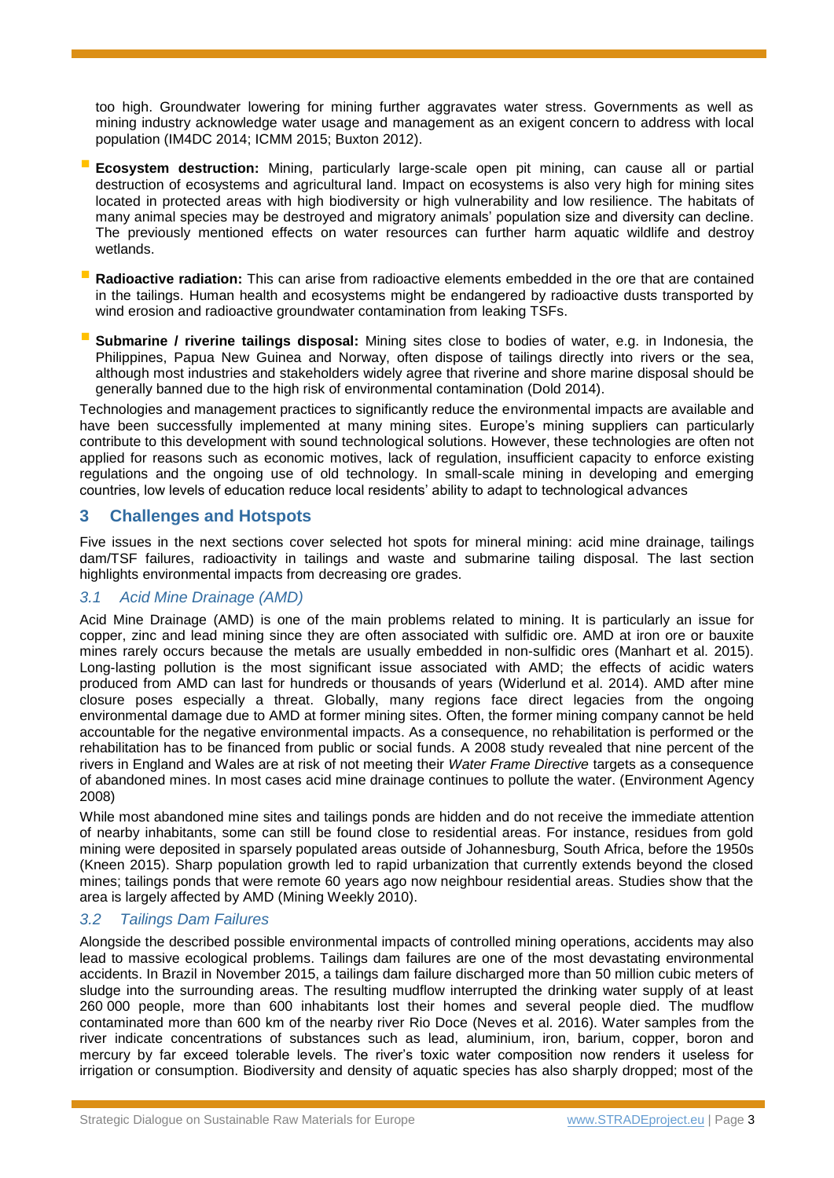too high. Groundwater lowering for mining further aggravates water stress. Governments as well as mining industry acknowledge water usage and management as an exigent concern to address with local population (IM4DC 2014; ICMM 2015; Buxton 2012).

- **Ecosystem destruction:** Mining, particularly large-scale open pit mining, can cause all or partial destruction of ecosystems and agricultural land. Impact on ecosystems is also very high for mining sites located in protected areas with high biodiversity or high vulnerability and low resilience. The habitats of many animal species may be destroyed and migratory animals' population size and diversity can decline. The previously mentioned effects on water resources can further harm aquatic wildlife and destroy wetlands.
- **Radioactive radiation:** This can arise from radioactive elements embedded in the ore that are contained in the tailings. Human health and ecosystems might be endangered by radioactive dusts transported by wind erosion and radioactive groundwater contamination from leaking TSFs.
- **Submarine / riverine tailings disposal:** Mining sites close to bodies of water, e.g. in Indonesia, the Philippines, Papua New Guinea and Norway, often dispose of tailings directly into rivers or the sea, although most industries and stakeholders widely agree that riverine and shore marine disposal should be generally banned due to the high risk of environmental contamination (Dold 2014).

Technologies and management practices to significantly reduce the environmental impacts are available and have been successfully implemented at many mining sites. Europe's mining suppliers can particularly contribute to this development with sound technological solutions. However, these technologies are often not applied for reasons such as economic motives, lack of regulation, insufficient capacity to enforce existing regulations and the ongoing use of old technology. In small-scale mining in developing and emerging countries, low levels of education reduce local residents' ability to adapt to technological advances

## **3 Challenges and Hotspots**

Five issues in the next sections cover selected hot spots for mineral mining: acid mine drainage, tailings dam/TSF failures, radioactivity in tailings and waste and submarine tailing disposal. The last section highlights environmental impacts from decreasing ore grades.

#### *3.1 Acid Mine Drainage (AMD)*

Acid Mine Drainage (AMD) is one of the main problems related to mining. It is particularly an issue for copper, zinc and lead mining since they are often associated with sulfidic ore. AMD at iron ore or bauxite mines rarely occurs because the metals are usually embedded in non-sulfidic ores (Manhart et al. 2015). Long-lasting pollution is the most significant issue associated with AMD; the effects of acidic waters produced from AMD can last for hundreds or thousands of years (Widerlund et al. 2014). AMD after mine closure poses especially a threat. Globally, many regions face direct legacies from the ongoing environmental damage due to AMD at former mining sites. Often, the former mining company cannot be held accountable for the negative environmental impacts. As a consequence, no rehabilitation is performed or the rehabilitation has to be financed from public or social funds. A 2008 study revealed that nine percent of the rivers in England and Wales are at risk of not meeting their *Water Frame Directive* targets as a consequence of abandoned mines. In most cases acid mine drainage continues to pollute the water. (Environment Agency 2008)

While most abandoned mine sites and tailings ponds are hidden and do not receive the immediate attention of nearby inhabitants, some can still be found close to residential areas. For instance, residues from gold mining were deposited in sparsely populated areas outside of Johannesburg, South Africa, before the 1950s (Kneen 2015). Sharp population growth led to rapid urbanization that currently extends beyond the closed mines; tailings ponds that were remote 60 years ago now neighbour residential areas. Studies show that the area is largely affected by AMD (Mining Weekly 2010).

#### *3.2 Tailings Dam Failures*

Alongside the described possible environmental impacts of controlled mining operations, accidents may also lead to massive ecological problems. Tailings dam failures are one of the most devastating environmental accidents. In Brazil in November 2015, a tailings dam failure discharged more than 50 million cubic meters of sludge into the surrounding areas. The resulting mudflow interrupted the drinking water supply of at least 260 000 people, more than 600 inhabitants lost their homes and several people died. The mudflow contaminated more than 600 km of the nearby river Rio Doce (Neves et al. 2016). Water samples from the river indicate concentrations of substances such as lead, aluminium, iron, barium, copper, boron and mercury by far exceed tolerable levels. The river's toxic water composition now renders it useless for irrigation or consumption. Biodiversity and density of aquatic species has also sharply dropped; most of the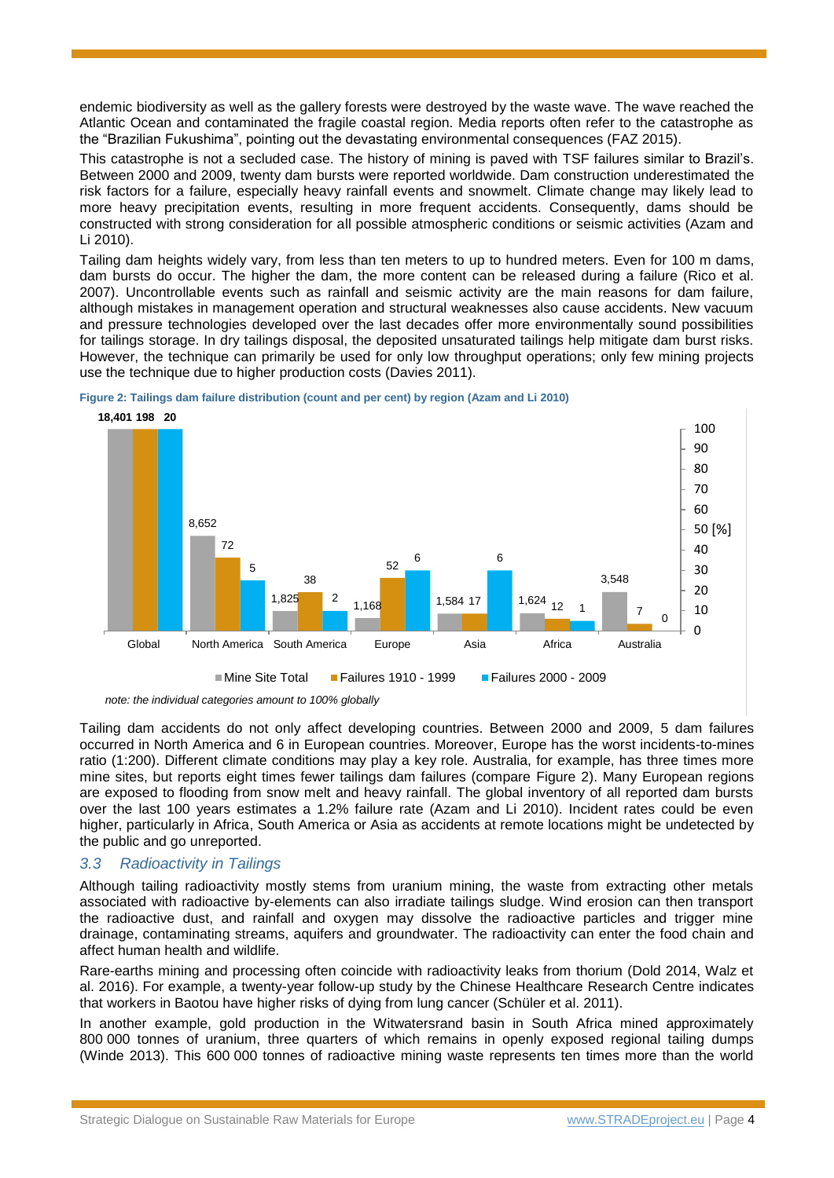endemic biodiversity as well as the gallery forests were destroyed by the waste wave. The wave reached the Atlantic Ocean and contaminated the fragile coastal region. Media reports often refer to the catastrophe as the "Brazilian Fukushima", pointing out the devastating environmental consequences (FAZ 2015).

This catastrophe is not a secluded case. The history of mining is paved with TSF failures similar to Brazil's. Between 2000 and 2009, twenty dam bursts were reported worldwide. Dam construction underestimated the risk factors for a failure, especially heavy rainfall events and snowmelt. Climate change may likely lead to more heavy precipitation events, resulting in more frequent accidents. Consequently, dams should be constructed with strong consideration for all possible atmospheric conditions or seismic activities (Azam and Li 2010).

Tailing dam heights widely vary, from less than ten meters to up to hundred meters. Even for 100 m dams, dam bursts do occur. The higher the dam, the more content can be released during a failure (Rico et al. 2007). Uncontrollable events such as rainfall and seismic activity are the main reasons for dam failure, although mistakes in management operation and structural weaknesses also cause accidents. New vacuum and pressure technologies developed over the last decades offer more environmentally sound possibilities for tailings storage. In dry tailings disposal, the deposited unsaturated tailings help mitigate dam burst risks. However, the technique can primarily be used for only low throughput operations; only few mining projects use the technique due to higher production costs (Davies 2011).



<span id="page-3-0"></span>

Tailing dam accidents do not only affect developing countries. Between 2000 and 2009, 5 dam failures occurred in North America and 6 in European countries. Moreover, Europe has the worst incidents-to-mines ratio (1:200). Different climate conditions may play a key role. Australia, for example, has three times more mine sites, but reports eight times fewer tailings dam failures (compare [Figure 2\)](#page-3-0). Many European regions are exposed to flooding from snow melt and heavy rainfall. The global inventory of all reported dam bursts over the last 100 years estimates a 1.2% failure rate (Azam and Li 2010). Incident rates could be even higher, particularly in Africa, South America or Asia as accidents at remote locations might be undetected by the public and go unreported.

#### *3.3 Radioactivity in Tailings*

Although tailing radioactivity mostly stems from uranium mining, the waste from extracting other metals associated with radioactive by-elements can also irradiate tailings sludge. Wind erosion can then transport the radioactive dust, and rainfall and oxygen may dissolve the radioactive particles and trigger mine drainage, contaminating streams, aquifers and groundwater. The radioactivity can enter the food chain and affect human health and wildlife.

Rare-earths mining and processing often coincide with radioactivity leaks from thorium (Dold 2014, Walz et al. 2016). For example, a twenty-year follow-up study by the Chinese Healthcare Research Centre indicates that workers in Baotou have higher risks of dying from lung cancer (Schüler et al. 2011).

In another example, gold production in the Witwatersrand basin in South Africa mined approximately 800 000 tonnes of uranium, three quarters of which remains in openly exposed regional tailing dumps (Winde 2013). This 600 000 tonnes of radioactive mining waste represents ten times more than the world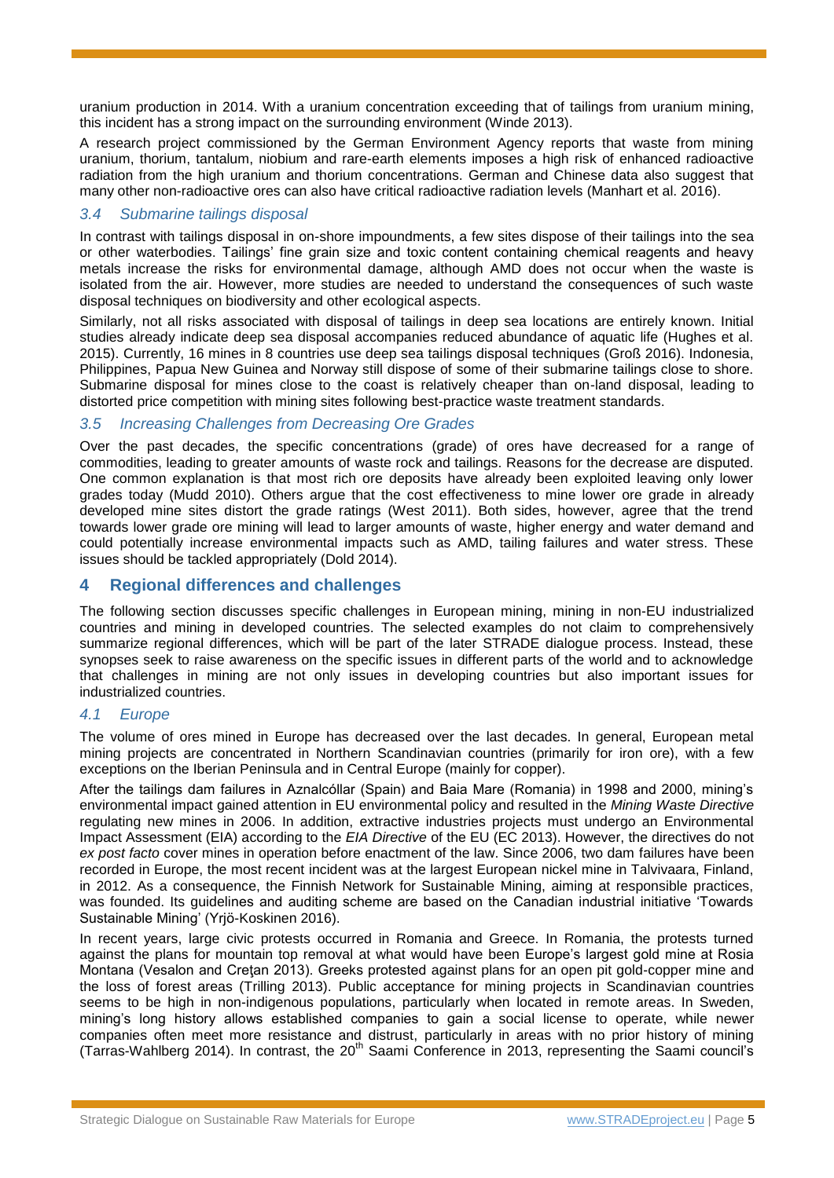uranium production in 2014. With a uranium concentration exceeding that of tailings from uranium mining, this incident has a strong impact on the surrounding environment (Winde 2013).

A research project commissioned by the German Environment Agency reports that waste from mining uranium, thorium, tantalum, niobium and rare-earth elements imposes a high risk of enhanced radioactive radiation from the high uranium and thorium concentrations. German and Chinese data also suggest that many other non-radioactive ores can also have critical radioactive radiation levels (Manhart et al. 2016).

#### *3.4 Submarine tailings disposal*

In contrast with tailings disposal in on-shore impoundments, a few sites dispose of their tailings into the sea or other waterbodies. Tailings' fine grain size and toxic content containing chemical reagents and heavy metals increase the risks for environmental damage, although AMD does not occur when the waste is isolated from the air. However, more studies are needed to understand the consequences of such waste disposal techniques on biodiversity and other ecological aspects.

Similarly, not all risks associated with disposal of tailings in deep sea locations are entirely known. Initial studies already indicate deep sea disposal accompanies reduced abundance of aquatic life (Hughes et al. 2015). Currently, 16 mines in 8 countries use deep sea tailings disposal techniques (Groß 2016). Indonesia, Philippines, Papua New Guinea and Norway still dispose of some of their submarine tailings close to shore. Submarine disposal for mines close to the coast is relatively cheaper than on-land disposal, leading to distorted price competition with mining sites following best-practice waste treatment standards.

#### *3.5 Increasing Challenges from Decreasing Ore Grades*

Over the past decades, the specific concentrations (grade) of ores have decreased for a range of commodities, leading to greater amounts of waste rock and tailings. Reasons for the decrease are disputed. One common explanation is that most rich ore deposits have already been exploited leaving only lower grades today (Mudd 2010). Others argue that the cost effectiveness to mine lower ore grade in already developed mine sites distort the grade ratings (West 2011). Both sides, however, agree that the trend towards lower grade ore mining will lead to larger amounts of waste, higher energy and water demand and could potentially increase environmental impacts such as AMD, tailing failures and water stress. These issues should be tackled appropriately (Dold 2014).

## **4 Regional differences and challenges**

The following section discusses specific challenges in European mining, mining in non-EU industrialized countries and mining in developed countries. The selected examples do not claim to comprehensively summarize regional differences, which will be part of the later STRADE dialogue process. Instead, these synopses seek to raise awareness on the specific issues in different parts of the world and to acknowledge that challenges in mining are not only issues in developing countries but also important issues for industrialized countries.

#### *4.1 Europe*

The volume of ores mined in Europe has decreased over the last decades. In general, European metal mining projects are concentrated in Northern Scandinavian countries (primarily for iron ore), with a few exceptions on the Iberian Peninsula and in Central Europe (mainly for copper).

After the tailings dam failures in Aznalcóllar (Spain) and Baia Mare (Romania) in 1998 and 2000, mining's environmental impact gained attention in EU environmental policy and resulted in the *Mining Waste Directive* regulating new mines in 2006. In addition, extractive industries projects must undergo an Environmental Impact Assessment (EIA) according to the *EIA Directive* of the EU (EC 2013). However, the directives do not *ex post facto* cover mines in operation before enactment of the law. Since 2006, two dam failures have been recorded in Europe, the most recent incident was at the largest European nickel mine in Talvivaara, Finland, in 2012. As a consequence, the Finnish Network for Sustainable Mining, aiming at responsible practices, was founded. Its guidelines and auditing scheme are based on the Canadian industrial initiative 'Towards Sustainable Mining' (Yrjö-Koskinen 2016).

In recent years, large civic protests occurred in Romania and Greece. In Romania, the protests turned against the plans for mountain top removal at what would have been Europe's largest gold mine at Rosia Montana (Vesalon and Cretan 2013). Greeks protested against plans for an open pit gold-copper mine and the loss of forest areas (Trilling 2013). Public acceptance for mining projects in Scandinavian countries seems to be high in non-indigenous populations, particularly when located in remote areas. In Sweden, mining's long history allows established companies to gain a social license to operate, while newer companies often meet more resistance and distrust, particularly in areas with no prior history of mining  $(Tarras-Wahlbera 2014)$ . In contrast, the 20<sup>th</sup> Saami Conference in 2013, representing the Saami council's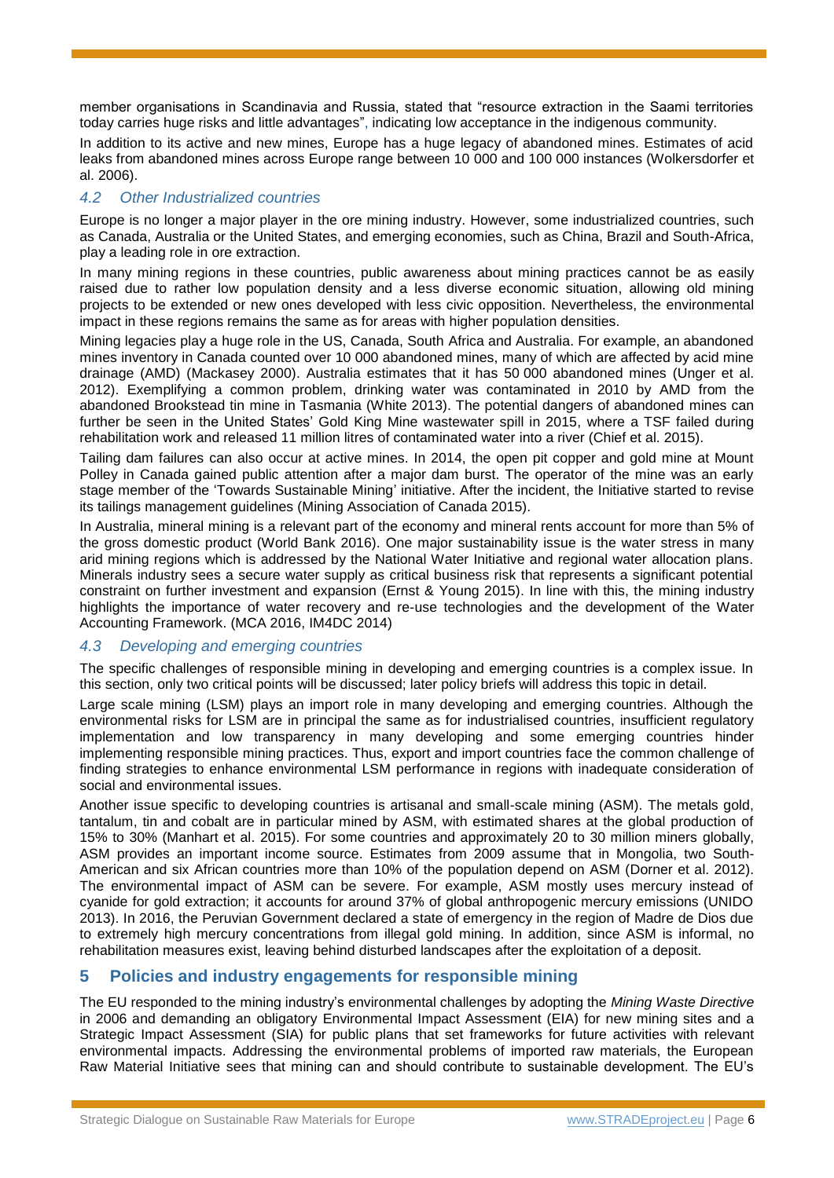member organisations in Scandinavia and Russia, stated that "resource extraction in the Saami territories today carries huge risks and little advantages", indicating low acceptance in the indigenous community.

In addition to its active and new mines, Europe has a huge legacy of abandoned mines. Estimates of acid leaks from abandoned mines across Europe range between 10 000 and 100 000 instances (Wolkersdorfer et al. 2006).

## *4.2 Other [Industrialized](http://www.linguee.de/englisch-deutsch/uebersetzung/industrialised+countries.html) countries*

Europe is no longer a major player in the ore mining industry. However, some industrialized countries, such as Canada, Australia or the United States, and emerging economies, such as China, Brazil and South-Africa, play a leading role in ore extraction.

In many mining regions in these countries, public awareness about mining practices cannot be as easily raised due to rather low population density and a less diverse economic situation, allowing old mining projects to be extended or new ones developed with less civic opposition. Nevertheless, the environmental impact in these regions remains the same as for areas with higher population densities.

Mining legacies play a huge role in the US, Canada, South Africa and Australia. For example, an abandoned mines inventory in Canada counted over 10 000 abandoned mines, many of which are affected by acid mine drainage (AMD) (Mackasey 2000). Australia estimates that it has 50 000 abandoned mines (Unger et al. 2012). Exemplifying a common problem, drinking water was contaminated in 2010 by AMD from the abandoned Brookstead tin mine in Tasmania (White 2013). The potential dangers of abandoned mines can further be seen in the United States' Gold King Mine wastewater spill in 2015, where a TSF failed during rehabilitation work and released 11 million litres of contaminated water into a river (Chief et al. 2015).

Tailing dam failures can also occur at active mines. In 2014, the open pit copper and gold mine at Mount Polley in Canada gained public attention after a major dam burst. The operator of the mine was an early stage member of the 'Towards Sustainable Mining' initiative. After the incident, the Initiative started to revise its tailings management guidelines (Mining Association of Canada 2015).

In Australia, mineral mining is a relevant part of the economy and mineral rents account for more than 5% of the gross domestic product (World Bank 2016). One major sustainability issue is the water stress in many arid mining regions which is addressed by the National Water Initiative and regional water allocation plans. Minerals industry sees a secure water supply as critical business risk that represents a significant potential constraint on further investment and expansion (Ernst & Young 2015). In line with this, the mining industry highlights the importance of water recovery and re-use technologies and the development of the Water Accounting Framework. (MCA 2016, IM4DC 2014)

## *4.3 Developing and emerging countries*

The specific challenges of responsible mining in developing and emerging countries is a complex issue. In this section, only two critical points will be discussed; later policy briefs will address this topic in detail.

Large scale mining (LSM) plays an import role in many developing and emerging countries. Although the environmental risks for LSM are in principal the same as for industrialised countries, insufficient regulatory implementation and low transparency in many developing and some emerging countries hinder implementing responsible mining practices. Thus, export and import countries face the common challenge of finding strategies to enhance environmental LSM performance in regions with inadequate consideration of social and environmental issues.

Another issue specific to developing countries is artisanal and small-scale mining (ASM). The metals gold, tantalum, tin and cobalt are in particular mined by ASM, with estimated shares at the global production of 15% to 30% (Manhart et al. 2015). For some countries and approximately 20 to 30 million miners globally, ASM provides an important income source. Estimates from 2009 assume that in Mongolia, two South-American and six African countries more than 10% of the population depend on ASM (Dorner et al. 2012). The environmental impact of ASM can be severe. For example, ASM mostly uses mercury instead of cyanide for gold extraction; it accounts for around 37% of global anthropogenic mercury emissions (UNIDO 2013). In 2016, the Peruvian Government declared a state of emergency in the region of Madre de Dios due to extremely high mercury concentrations from illegal gold mining. In addition, since ASM is informal, no rehabilitation measures exist, leaving behind disturbed landscapes after the exploitation of a deposit.

# **5 Policies and industry engagements for responsible mining**

The EU responded to the mining industry's environmental challenges by adopting the *Mining Waste Directive* in 2006 and demanding an obligatory Environmental Impact Assessment (EIA) for new mining sites and a Strategic Impact Assessment (SIA) for public plans that set frameworks for future activities with relevant environmental impacts. Addressing the environmental problems of imported raw materials, the European Raw Material Initiative sees that mining can and should contribute to sustainable development. The EU's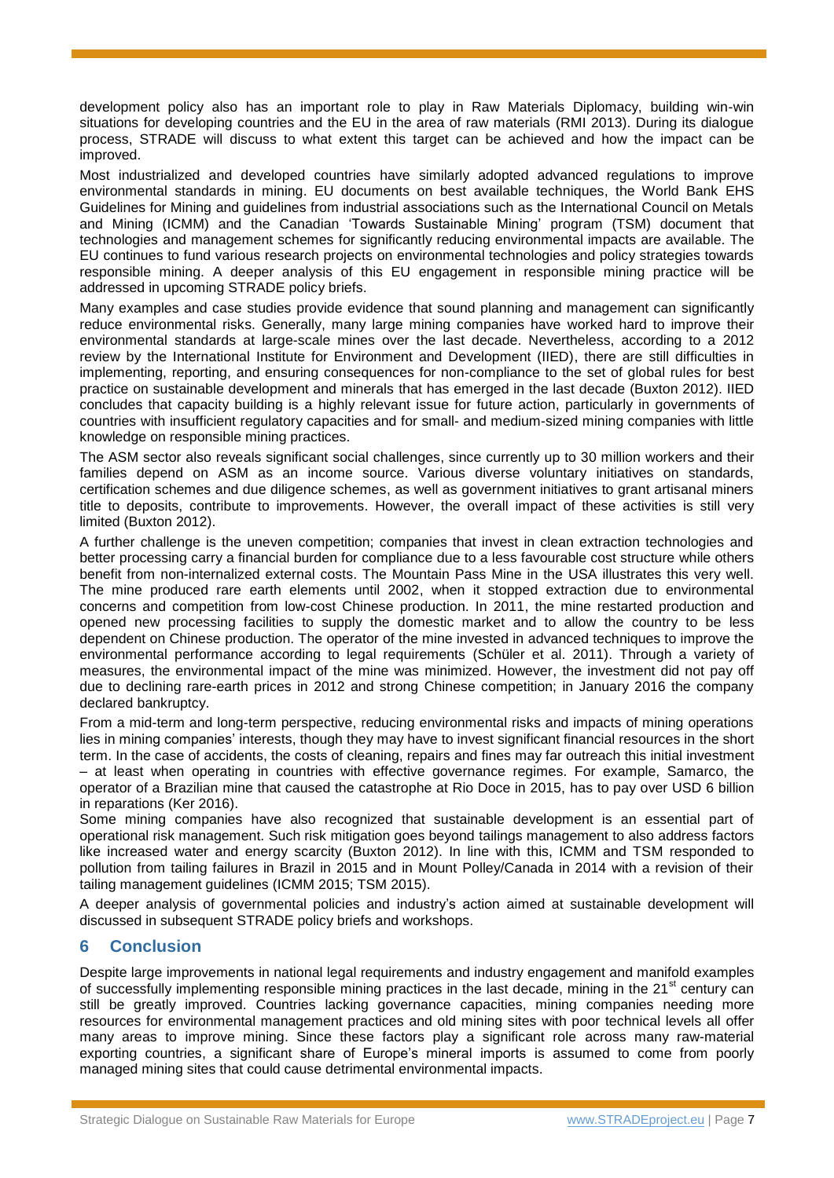development policy also has an important role to play in Raw Materials Diplomacy, building win-win situations for developing countries and the EU in the area of raw materials (RMI 2013). During its dialogue process, STRADE will discuss to what extent this target can be achieved and how the impact can be improved.

Most industrialized and developed countries have similarly adopted advanced regulations to improve environmental standards in mining. EU documents on best available techniques, the World Bank EHS Guidelines for Mining and guidelines from industrial associations such as the International Council on Metals and Mining (ICMM) and the Canadian 'Towards Sustainable Mining' program (TSM) document that technologies and management schemes for significantly reducing environmental impacts are available. The EU continues to fund various research projects on environmental technologies and policy strategies towards responsible mining. A deeper analysis of this EU engagement in responsible mining practice will be addressed in upcoming STRADE policy briefs.

Many examples and case studies provide evidence that sound planning and management can significantly reduce environmental risks. Generally, many large mining companies have worked hard to improve their environmental standards at large-scale mines over the last decade. Nevertheless, according to a 2012 review by the International Institute for Environment and Development (IIED), there are still difficulties in implementing, reporting, and ensuring consequences for non-compliance to the set of global rules for best practice on sustainable development and minerals that has emerged in the last decade (Buxton 2012). IIED concludes that capacity building is a highly relevant issue for future action, particularly in governments of countries with insufficient regulatory capacities and for small- and medium-sized mining companies with little knowledge on responsible mining practices.

The ASM sector also reveals significant social challenges, since currently up to 30 million workers and their families depend on ASM as an income source. Various diverse voluntary initiatives on standards, certification schemes and due diligence schemes, as well as government initiatives to grant artisanal miners title to deposits, contribute to improvements. However, the overall impact of these activities is still very limited (Buxton 2012).

A further challenge is the uneven competition; companies that invest in clean extraction technologies and better processing carry a financial burden for compliance due to a less favourable cost structure while others benefit from non-internalized external costs. The Mountain Pass Mine in the USA illustrates this very well. The mine produced rare earth elements until 2002, when it stopped extraction due to environmental concerns and competition from low-cost Chinese production. In 2011, the mine restarted production and opened new processing facilities to supply the domestic market and to allow the country to be less dependent on Chinese production. The operator of the mine invested in advanced techniques to improve the environmental performance according to legal requirements (Schüler et al. 2011). Through a variety of measures, the environmental impact of the mine was minimized. However, the investment did not pay off due to declining rare-earth prices in 2012 and strong Chinese competition; in January 2016 the company declared bankruptcy.

From a mid-term and long-term perspective, reducing environmental risks and impacts of mining operations lies in mining companies' interests, though they may have to invest significant financial resources in the short term. In the case of accidents, the costs of cleaning, repairs and fines may far outreach this initial investment – at least when operating in countries with effective governance regimes. For example, Samarco, the operator of a Brazilian mine that caused the catastrophe at Rio Doce in 2015, has to pay over USD 6 billion in reparations (Ker 2016).

Some mining companies have also recognized that sustainable development is an essential part of operational risk management. Such risk mitigation goes beyond tailings management to also address factors like increased water and energy scarcity (Buxton 2012). In line with this, ICMM and TSM responded to pollution from tailing failures in Brazil in 2015 and in Mount Polley/Canada in 2014 with a revision of their tailing management guidelines (ICMM 2015; TSM 2015).

A deeper analysis of governmental policies and industry's action aimed at sustainable development will discussed in subsequent STRADE policy briefs and workshops.

## **6 Conclusion**

Despite large improvements in national legal requirements and industry engagement and manifold examples of successfully implementing responsible mining practices in the last decade, mining in the  $21<sup>st</sup>$  century can still be greatly improved. Countries lacking governance capacities, mining companies needing more resources for environmental management practices and old mining sites with poor technical levels all offer many areas to improve mining. Since these factors play a significant role across many raw-material exporting countries, a significant share of Europe's mineral imports is assumed to come from poorly managed mining sites that could cause detrimental environmental impacts.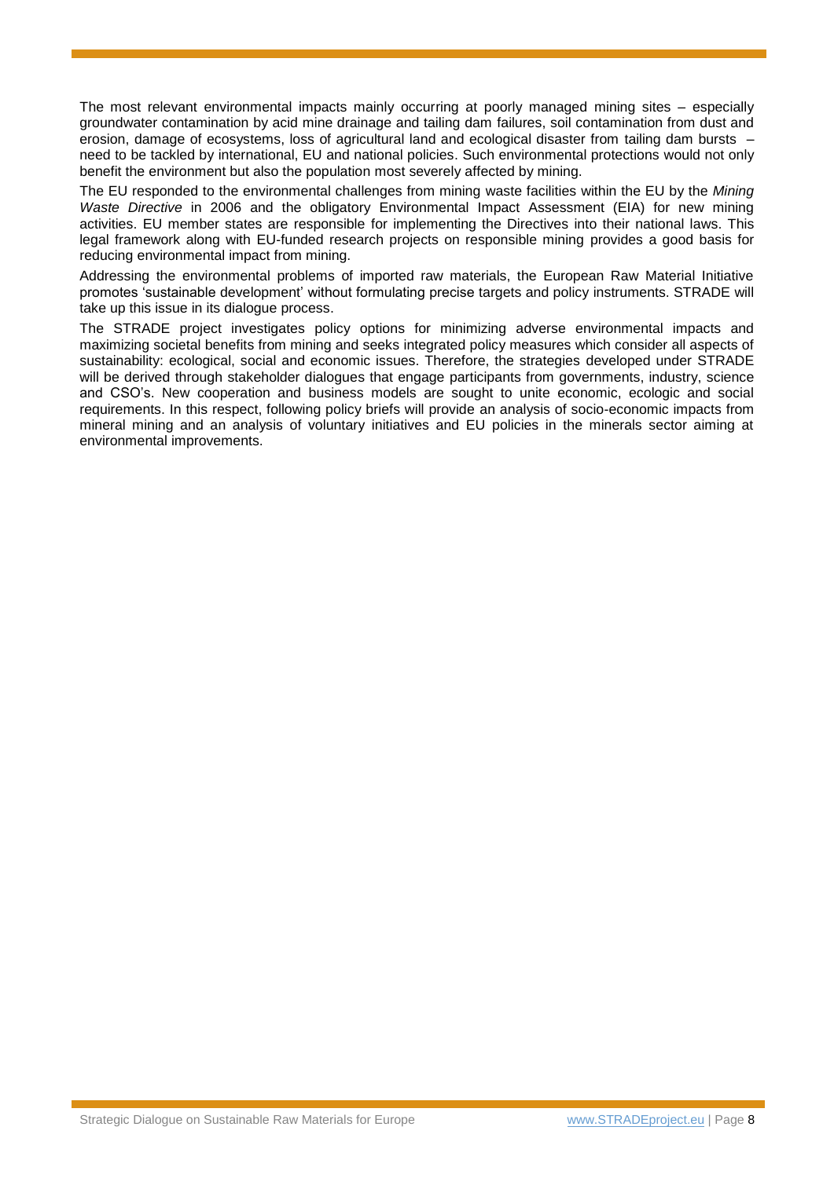The most relevant environmental impacts mainly occurring at poorly managed mining sites – especially groundwater contamination by acid mine drainage and tailing dam failures, soil contamination from dust and erosion, damage of ecosystems, loss of agricultural land and ecological disaster from tailing dam bursts – need to be tackled by international, EU and national policies. Such environmental protections would not only benefit the environment but also the population most severely affected by mining.

The EU responded to the environmental challenges from mining waste facilities within the EU by the *Mining Waste Directive* in 2006 and the obligatory Environmental Impact Assessment (EIA) for new mining activities. EU member states are responsible for implementing the Directives into their national laws. This legal framework along with EU-funded research projects on responsible mining provides a good basis for reducing environmental impact from mining.

Addressing the environmental problems of imported raw materials, the European Raw Material Initiative promotes 'sustainable development' without formulating precise targets and policy instruments. STRADE will take up this issue in its dialogue process.

The STRADE project investigates policy options for minimizing adverse environmental impacts and maximizing societal benefits from mining and seeks integrated policy measures which consider all aspects of sustainability: ecological, social and economic issues. Therefore, the strategies developed under STRADE will be derived through stakeholder dialogues that engage participants from governments, industry, science and CSO's. New cooperation and business models are sought to unite economic, ecologic and social requirements. In this respect, following policy briefs will provide an analysis of socio-economic impacts from mineral mining and an analysis of voluntary initiatives and EU policies in the minerals sector aiming at environmental improvements.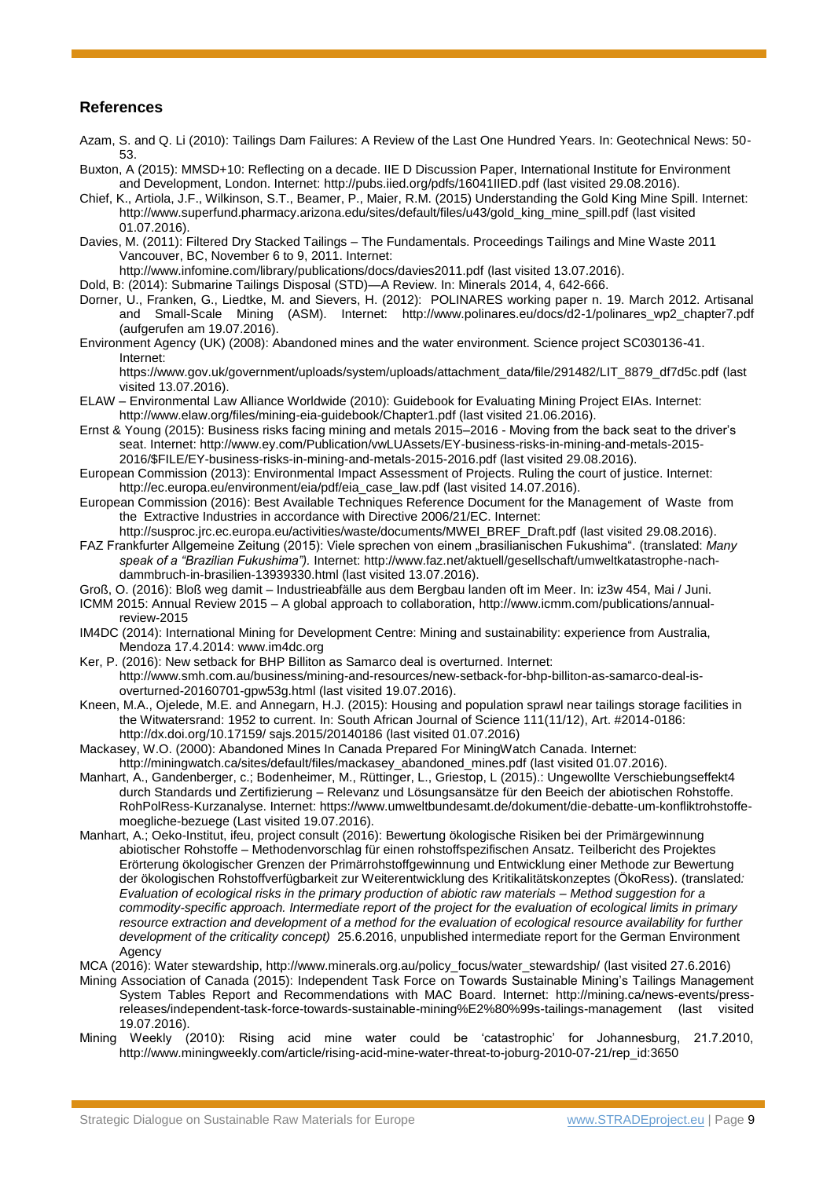#### **References**

- Azam, S. and Q. Li (2010): Tailings Dam Failures: A Review of the Last One Hundred Years. In: Geotechnical News: 50- 53.
- Buxton, A (2015): MMSD+10: Reflecting on a decade. IIE D Discussion Paper, International Institute for Environment and Development, London. Internet:<http://pubs.iied.org/pdfs/16041IIED.pdf> (last visited 29.08.2016).
- Chief, K., Artiola, J.F., Wilkinson, S.T., Beamer, P., Maier, R.M. (2015) Understanding the Gold King Mine Spill. Internet: [http://www.superfund.pharmacy.arizona.edu/sites/default/files/u43/gold\\_king\\_mine\\_spill.pdf](http://www.superfund.pharmacy.arizona.edu/sites/default/files/u43/gold_king_mine_spill.pdf) (last visited 01.07.2016).
- Davies, M. (2011): Filtered Dry Stacked Tailings The Fundamentals. Proceedings Tailings and Mine Waste 2011 Vancouver, BC, November 6 to 9, 2011. Internet:

<http://www.infomine.com/library/publications/docs/davies2011.pdf> (last visited 13.07.2016).

- Dold, B: (2014): Submarine Tailings Disposal (STD)—A Review. In: Minerals 2014, 4, 642-666.
- Dorner, U., Franken, G., Liedtke, M. and Sievers, H. (2012): POLINARES working paper n. 19. March 2012. Artisanal and Small-Scale Mining (ASM). Internet: [http://www.polinares.eu/docs/d2-1/polinares\\_wp2\\_chapter7.pdf](http://www.polinares.eu/docs/d2-1/polinares_wp2_chapter7.pdf) (aufgerufen am 19.07.2016).
- Environment Agency (UK) (2008): Abandoned mines and the water environment. Science project SC030136-41. Internet:

[https://www.gov.uk/government/uploads/system/uploads/attachment\\_data/file/291482/LIT\\_8879\\_df7d5c.pdf](https://www.gov.uk/government/uploads/system/uploads/attachment_data/file/291482/LIT_8879_df7d5c.pdf) (last visited 13.07.2016).

- ELAW Environmental Law Alliance Worldwide (2010): Guidebook for Evaluating Mining Project EIAs. Internet: <http://www.elaw.org/files/mining-eia-guidebook/Chapter1.pdf> (last visited 21.06.2016).
- Ernst & Young (2015): Business risks facing mining and metals 2015–2016 Moving from the back seat to the driver's seat. Internet: [http://www.ey.com/Publication/vwLUAssets/EY-business-risks-in-mining-and-metals-2015-](http://www.ey.com/Publication/vwLUAssets/EY-business-risks-in-mining-and-metals-2015-2016/$FILE/EY-business-risks-in-mining-and-metals-2015-2016.pdf) [2016/\\$FILE/EY-business-risks-in-mining-and-metals-2015-2016.pdf](http://www.ey.com/Publication/vwLUAssets/EY-business-risks-in-mining-and-metals-2015-2016/$FILE/EY-business-risks-in-mining-and-metals-2015-2016.pdf) (last visited 29.08.2016).
- European Commission (2013): Environmental Impact Assessment of Projects. Ruling the court of justice. Internet: [http://ec.europa.eu/environment/eia/pdf/eia\\_case\\_law.pdf](http://ec.europa.eu/environment/eia/pdf/eia_case_law.pdf) (last visited 14.07.2016).
- European Commission (2016): Best Available Techniques Reference Document for the Management of Waste from the Extractive Industries in accordance with Directive 2006/21/EC. Internet:

[http://susproc.jrc.ec.europa.eu/activities/waste/documents/MWEI\\_BREF\\_Draft.pdf](http://susproc.jrc.ec.europa.eu/activities/waste/documents/MWEI_BREF_Draft.pdf) (last visited 29.08.2016). FAZ Frankfurter Allgemeine Zeitung (2015): Viele sprechen von einem "brasilianischen Fukushima". (translated: *Many speak of a "Brazilian Fukushima").* Internet: [http://www.faz.net/aktuell/gesellschaft/umweltkatastrophe-nach](http://www.faz.net/aktuell/gesellschaft/umweltkatastrophe-nach-dammbruch-in-brasilien-13939330.html)[dammbruch-in-brasilien-13939330.html](http://www.faz.net/aktuell/gesellschaft/umweltkatastrophe-nach-dammbruch-in-brasilien-13939330.html) (last visited 13.07.2016).

- Groß, O. (2016): Bloß weg damit Industrieabfälle aus dem Bergbau landen oft im Meer. In: iz3w 454, Mai / Juni.
- ICMM 2015: Annual Review 2015 A global approach to collaboration, [http://www.icmm.com/publications/annual](http://www.icmm.com/publications/annual-review-2015)[review-2015](http://www.icmm.com/publications/annual-review-2015)
- IM4DC (2014): International Mining for Development Centre: Mining and sustainability: experience from Australia, Mendoza 17.4.2014: [www.im4dc.org](http://www.im4dc.org/)
- Ker, P. (2016): New setback for BHP Billiton as Samarco deal is overturned. Internet: [http://www.smh.com.au/business/mining-and-resources/new-setback-for-bhp-billiton-as-samarco-deal-is](http://www.smh.com.au/business/mining-and-resources/new-setback-for-bhp-billiton-as-samarco-deal-is-overturned-20160701-gpw53g.html)[overturned-20160701-gpw53g.html](http://www.smh.com.au/business/mining-and-resources/new-setback-for-bhp-billiton-as-samarco-deal-is-overturned-20160701-gpw53g.html) (last visited 19.07.2016).
- Kneen, M.A., Ojelede, M.E. and Annegarn, H.J. (2015): Housing and population sprawl near tailings storage facilities in the Witwatersrand: 1952 to current. In: South African Journal of Science 111(11/12), Art. #2014-0186: http://dx.doi.org/10.17159/ sajs.2015/20140186 (last visited 01.07.2016)
- Mackasey, W.O. (2000): Abandoned Mines In Canada Prepared For MiningWatch Canada. Internet: [http://miningwatch.ca/sites/default/files/mackasey\\_abandoned\\_mines.pdf](http://miningwatch.ca/sites/default/files/mackasey_abandoned_mines.pdf) (last visited 01.07.2016).
- Manhart, A., Gandenberger, c.; Bodenheimer, M., Rüttinger, L., Griestop, L (2015).: Ungewollte Verschiebungseffekt4 durch Standards und Zertifizierung – Relevanz und Lösungsansätze für den Beeich der abiotischen Rohstoffe. RohPolRess-Kurzanalyse. Internet: [https://www.umweltbundesamt.de/dokument/die-debatte-um-konfliktrohstoffe](https://www.umweltbundesamt.de/dokument/die-debatte-um-konfliktrohstoffe-moegliche-bezuege)[moegliche-bezuege](https://www.umweltbundesamt.de/dokument/die-debatte-um-konfliktrohstoffe-moegliche-bezuege) (Last visited 19.07.2016).
- Manhart, A.; Oeko-Institut, ifeu, project consult (2016): Bewertung ökologische Risiken bei der Primärgewinnung abiotischer Rohstoffe – Methodenvorschlag für einen rohstoffspezifischen Ansatz. Teilbericht des Projektes Erörterung ökologischer Grenzen der Primärrohstoffgewinnung und Entwicklung einer Methode zur Bewertung der ökologischen Rohstoffverfügbarkeit zur Weiterentwicklung des Kritikalitätskonzeptes (ÖkoRess). (translated*: Evaluation of ecological risks in the primary production of abiotic raw materials – Method suggestion for a commodity-specific approach. Intermediate report of the project for the evaluation of ecological limits in primary*  resource extraction and development of a method for the evaluation of ecological resource availability for further *development of the criticality concept)* 25.6.2016, unpublished intermediate report for the German Environment Agency
- MCA (2016): Water stewardship, [http://www.minerals.org.au/policy\\_focus/water\\_stewardship/](http://www.minerals.org.au/policy_focus/water_stewardship/) (last visited 27.6.2016)
- Mining Association of Canada (2015): Independent Task Force on Towards Sustainable Mining's Tailings Management System Tables Report and Recommendations with MAC Board. Internet: [http://mining.ca/news-events/press](http://mining.ca/news-events/press-releases/independent-task-force-towards-sustainable-mining%E2%80%99s-tailings-management)[releases/independent-task-force-towards-sustainable-mining%E2%80%99s-tailings-management](http://mining.ca/news-events/press-releases/independent-task-force-towards-sustainable-mining%E2%80%99s-tailings-management) (last visited 19.07.2016).
- Mining Weekly (2010): Rising acid mine water could be 'catastrophic' for Johannesburg, 21.7.2010, http://www.miningweekly.com/article/rising-acid-mine-water-threat-to-joburg-2010-07-21/rep\_id:3650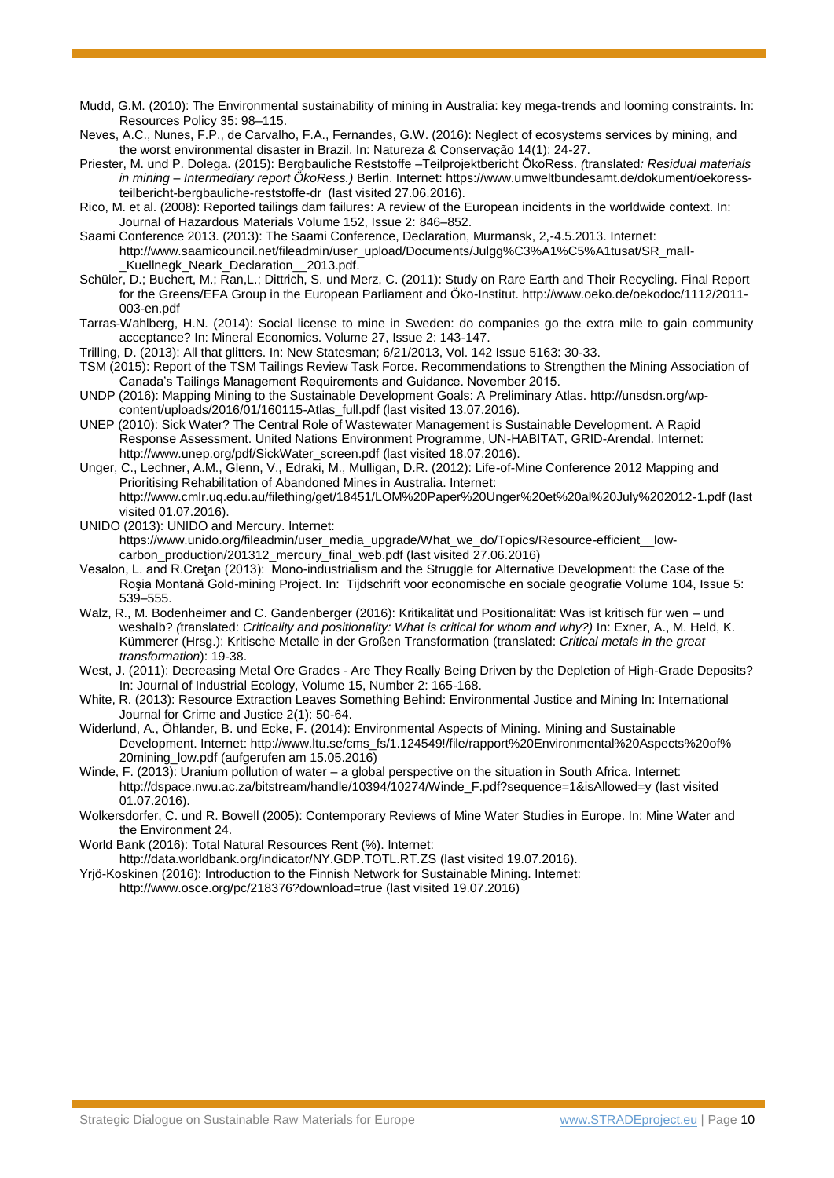- Mudd, G.M. (2010): The Environmental sustainability of mining in Australia: key mega-trends and looming constraints. In: Resources Policy 35: 98–115.
- Neves, A.C., Nunes, F.P., de Carvalho, F.A., Fernandes, G.W. (2016): Neglect of ecosystems services by mining, and the worst environmental disaster in Brazil. In: Natureza & Conservação 14(1): 24-27.
- Priester, M. und P. Dolega. (2015): Bergbauliche Reststoffe –Teilprojektbericht ÖkoRess. *(*translated*: Residual materials in mining – Intermediary report ÖkoRess.)* Berlin. Internet: [https://www.umweltbundesamt.de/dokument/oekoress](https://www.umweltbundesamt.de/dokument/oekoress-teilbericht-bergbauliche-reststoffe-dr)[teilbericht-bergbauliche-reststoffe-dr](https://www.umweltbundesamt.de/dokument/oekoress-teilbericht-bergbauliche-reststoffe-dr) (last visited 27.06.2016).
- Rico, M. et al. (2008): Reported tailings dam failures: A review of the European incidents in the worldwide context. In: Journal of Hazardous Materials Volume 152, Issue 2: 846–852.
- Saami Conference 2013. (2013): The Saami Conference, Declaration, Murmansk, 2,-4.5.2013. Internet: http://www.saamicouncil.net/fileadmin/user\_upload/Documents/Julgg%C3%A1%C5%A1tusat/SR\_mall- \_Kuellnegk\_Neark\_Declaration\_\_2013.pdf.
- Schüler, D.; Buchert, M.; Ran,L.; Dittrich, S. und Merz, C. (2011): Study on Rare Earth and Their Recycling. Final Report for the Greens/EFA Group in the European Parliament and Öko-Institut. [http://www.oeko.de/oekodoc/1112/2011-](http://www.oeko.de/oekodoc/1112/2011-003-en.pdf) [003-en.pdf](http://www.oeko.de/oekodoc/1112/2011-003-en.pdf)
- Tarras-Wahlberg, H.N. (2014): Social license to mine in Sweden: do companies go the extra mile to gain community acceptance? In: Mineral Economics. Volume 27, Issue 2: 143-147.
- Trilling, D. (2013): All that glitters. In: New Statesman; 6/21/2013, Vol. 142 Issue 5163: 30-33.
- TSM (2015): Report of the TSM Tailings Review Task Force. Recommendations to Strengthen the Mining Association of Canada's Tailings Management Requirements and Guidance. November 2015.
- UNDP (2016): Mapping Mining to the Sustainable Development Goals: A Preliminary Atlas. [http://unsdsn.org/wp](http://unsdsn.org/wp-content/uploads/2016/01/160115-Atlas_full.pdf)[content/uploads/2016/01/160115-Atlas\\_full.pdf](http://unsdsn.org/wp-content/uploads/2016/01/160115-Atlas_full.pdf) (last visited 13.07.2016).
- UNEP (2010): Sick Water? The Central Role of Wastewater Management is Sustainable Development. A Rapid Response Assessment. United Nations Environment Programme, UN-HABITAT, GRID-Arendal. Internet: [http://www.unep.org/pdf/SickWater\\_screen.pdf](http://www.unep.org/pdf/SickWater_screen.pdf) (last visited 18.07.2016).
- Unger, C., Lechner, A.M., Glenn, V., Edraki, M., Mulligan, D.R. (2012): Life-of-Mine Conference 2012 Mapping and Prioritising Rehabilitation of Abandoned Mines in Australia. Internet: <http://www.cmlr.uq.edu.au/filething/get/18451/LOM%20Paper%20Unger%20et%20al%20July%202012-1.pdf> (last visited 01.07.2016).
- UNIDO (2013): UNIDO and Mercury. Internet:

https://www.unido.org/fileadmin/user\_media\_upgrade/What\_we\_do/Topics/Resource-efficient\_low[carbon\\_production/201312\\_mercury\\_final\\_web.pdf \(last visited 27.06.2016\)](https://www.unido.org/fileadmin/user_media_upgrade/What_we_do/Topics/Resource-efficient__low-carbon_production/201312_mercury_final_web.pdf%20(last%20visited%2027.06.2016))

- Vesalon, L. and R.Cretan (2013): Mono-industrialism and the Struggle for Alternative Development: the Case of the Roşia Montană Gold-mining Project. In: Tijdschrift voor economische en sociale geografie Volume 104, Issue 5: 539–555.
- Walz, R., M. Bodenheimer and C. Gandenberger (2016): Kritikalität und Positionalität: Was ist kritisch für wen und weshalb? *(*translated: *Criticality and positionality: What is critical for whom and why?)* In: Exner, A., M. Held, K. Kümmerer (Hrsg.): Kritische Metalle in der Großen Transformation (translated: *Critical metals in the great transformation*): 19-38.
- West, J. (2011): Decreasing Metal Ore Grades Are They Really Being Driven by the Depletion of High-Grade Deposits? In: Journal of Industrial Ecology, Volume 15, Number 2: 165-168.
- White, R. (2013): Resource Extraction Leaves Something Behind: Environmental Justice and Mining In: International Journal for Crime and Justice 2(1): 50-64.
- Widerlund, A., Öhlander, B. und Ecke, F. (2014): Environmental Aspects of Mining. Mining and Sustainable Development. Internet: [http://www.ltu.se/cms\\_fs/1.124549!/file/rapport%20Environmental%20Aspects%20of%](http://www.ltu.se/cms_fs/1.124549!/file/rapport%20Environmental%20Aspects%20of%25%2020mining_low.pdf)  [20mining\\_low.pdf](http://www.ltu.se/cms_fs/1.124549!/file/rapport%20Environmental%20Aspects%20of%25%2020mining_low.pdf) (aufgerufen am 15.05.2016)
- Winde, F. (2013): Uranium pollution of water a global perspective on the situation in South Africa. Internet: [http://dspace.nwu.ac.za/bitstream/handle/10394/10274/Winde\\_F.pdf?sequence=1&isAllowed=y](http://dspace.nwu.ac.za/bitstream/handle/10394/10274/Winde_F.pdf?sequence=1&isAllowed=y) (last visited 01.07.2016).
- Wolkersdorfer, C. und R. Bowell (2005): Contemporary Reviews of Mine Water Studies in Europe. In: Mine Water and the Environment 24.
- World Bank (2016): Total Natural Resources Rent (%). Internet:
- <http://data.worldbank.org/indicator/NY.GDP.TOTL.RT.ZS> (last visited 19.07.2016).
- Yrjö-Koskinen (2016): Introduction to the Finnish Network for Sustainable Mining. Internet: <http://www.osce.org/pc/218376?download=true> (last visited 19.07.2016)